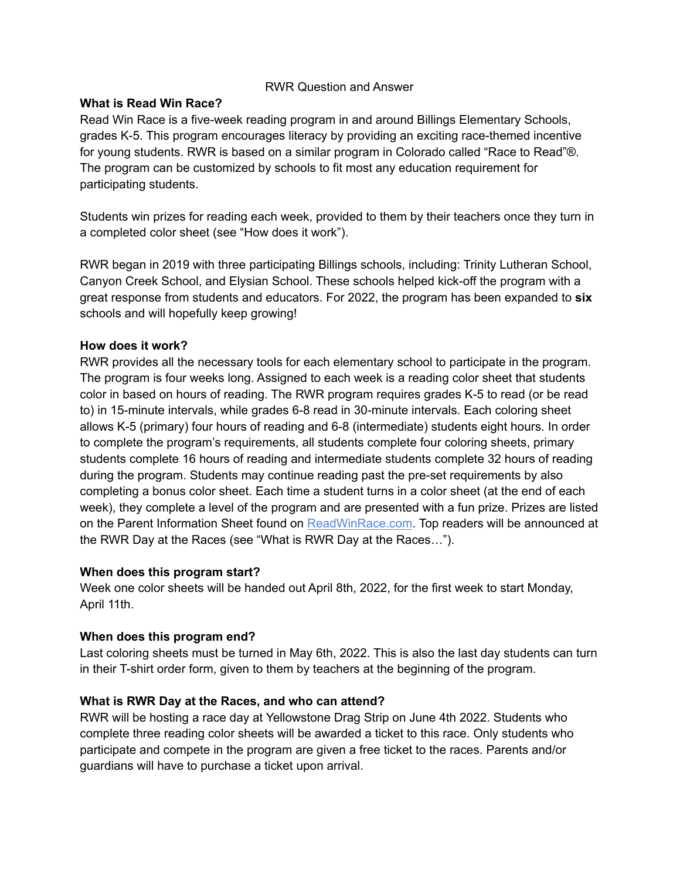# RWR Question and Answer

### **What is Read Win Race?**

Read Win Race is a five-week reading program in and around Billings Elementary Schools, grades K-5. This program encourages literacy by providing an exciting race-themed incentive for young students. RWR is based on a similar program in Colorado called "Race to Read"®. The program can be customized by schools to fit most any education requirement for participating students.

Students win prizes for reading each week, provided to them by their teachers once they turn in a completed color sheet (see "How does it work").

RWR began in 2019 with three participating Billings schools, including: Trinity Lutheran School, Canyon Creek School, and Elysian School. These schools helped kick-off the program with a great response from students and educators. For 2022, the program has been expanded to **six** schools and will hopefully keep growing!

# **How does it work?**

RWR provides all the necessary tools for each elementary school to participate in the program. The program is four weeks long. Assigned to each week is a reading color sheet that students color in based on hours of reading. The RWR program requires grades K-5 to read (or be read to) in 15-minute intervals, while grades 6-8 read in 30-minute intervals. Each coloring sheet allows K-5 (primary) four hours of reading and 6-8 (intermediate) students eight hours. In order to complete the program's requirements, all students complete four coloring sheets, primary students complete 16 hours of reading and intermediate students complete 32 hours of reading during the program. Students may continue reading past the pre-set requirements by also completing a bonus color sheet. Each time a student turns in a color sheet (at the end of each week), they complete a level of the program and are presented with a fun prize. Prizes are listed on the Parent Information Sheet found on ReadWinRace.com. Top readers will be announced at the RWR Day at the Races (see "What is RWR Day at the Races…").

### **When does this program start?**

Week one color sheets will be handed out April 8th, 2022, for the first week to start Monday, April 11th.

# **When does this program end?**

Last coloring sheets must be turned in May 6th, 2022. This is also the last day students can turn in their T-shirt order form, given to them by teachers at the beginning of the program.

# **What is RWR Day at the Races, and who can attend?**

RWR will be hosting a race day at Yellowstone Drag Strip on June 4th 2022. Students who complete three reading color sheets will be awarded a ticket to this race. Only students who participate and compete in the program are given a free ticket to the races. Parents and/or guardians will have to purchase a ticket upon arrival.